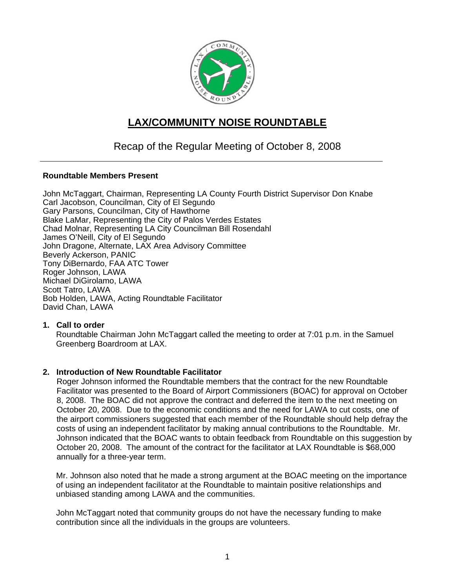

# **LAX/COMMUNITY NOISE ROUNDTABLE**

## Recap of the Regular Meeting of October 8, 2008

### **Roundtable Members Present**

John McTaggart, Chairman, Representing LA County Fourth District Supervisor Don Knabe Carl Jacobson, Councilman, City of El Segundo Gary Parsons, Councilman, City of Hawthorne Blake LaMar, Representing the City of Palos Verdes Estates Chad Molnar, Representing LA City Councilman Bill Rosendahl James O'Neill, City of El Segundo John Dragone, Alternate, LAX Area Advisory Committee Beverly Ackerson, PANIC Tony DiBernardo, FAA ATC Tower Roger Johnson, LAWA Michael DiGirolamo, LAWA Scott Tatro, LAWA Bob Holden, LAWA, Acting Roundtable Facilitator David Chan, LAWA

#### **1. Call to order**

Roundtable Chairman John McTaggart called the meeting to order at 7:01 p.m. in the Samuel Greenberg Boardroom at LAX.

### **2. Introduction of New Roundtable Facilitator**

Roger Johnson informed the Roundtable members that the contract for the new Roundtable Facilitator was presented to the Board of Airport Commissioners (BOAC) for approval on October 8, 2008. The BOAC did not approve the contract and deferred the item to the next meeting on October 20, 2008. Due to the economic conditions and the need for LAWA to cut costs, one of the airport commissioners suggested that each member of the Roundtable should help defray the costs of using an independent facilitator by making annual contributions to the Roundtable. Mr. Johnson indicated that the BOAC wants to obtain feedback from Roundtable on this suggestion by October 20, 2008. The amount of the contract for the facilitator at LAX Roundtable is \$68,000 annually for a three-year term.

Mr. Johnson also noted that he made a strong argument at the BOAC meeting on the importance of using an independent facilitator at the Roundtable to maintain positive relationships and unbiased standing among LAWA and the communities.

John McTaggart noted that community groups do not have the necessary funding to make contribution since all the individuals in the groups are volunteers.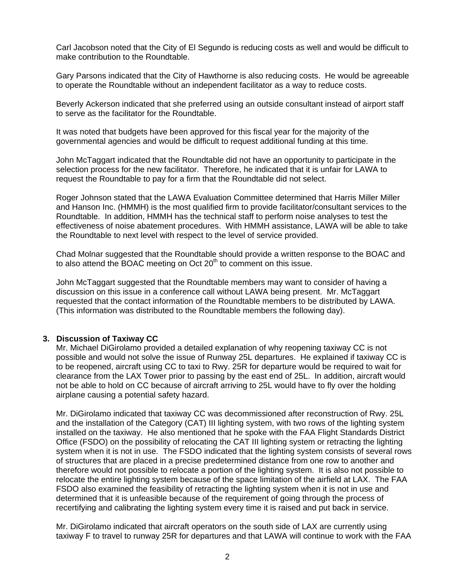Carl Jacobson noted that the City of El Segundo is reducing costs as well and would be difficult to make contribution to the Roundtable.

Gary Parsons indicated that the City of Hawthorne is also reducing costs. He would be agreeable to operate the Roundtable without an independent facilitator as a way to reduce costs.

Beverly Ackerson indicated that she preferred using an outside consultant instead of airport staff to serve as the facilitator for the Roundtable.

It was noted that budgets have been approved for this fiscal year for the majority of the governmental agencies and would be difficult to request additional funding at this time.

John McTaggart indicated that the Roundtable did not have an opportunity to participate in the selection process for the new facilitator. Therefore, he indicated that it is unfair for LAWA to request the Roundtable to pay for a firm that the Roundtable did not select.

Roger Johnson stated that the LAWA Evaluation Committee determined that Harris Miller Miller and Hanson Inc. (HMMH) is the most qualified firm to provide facilitator/consultant services to the Roundtable. In addition, HMMH has the technical staff to perform noise analyses to test the effectiveness of noise abatement procedures. With HMMH assistance, LAWA will be able to take the Roundtable to next level with respect to the level of service provided.

Chad Molnar suggested that the Roundtable should provide a written response to the BOAC and to also attend the BOAC meeting on Oct  $20<sup>th</sup>$  to comment on this issue.

John McTaggart suggested that the Roundtable members may want to consider of having a discussion on this issue in a conference call without LAWA being present. Mr. McTaggart requested that the contact information of the Roundtable members to be distributed by LAWA. (This information was distributed to the Roundtable members the following day).

### **3. Discussion of Taxiway CC**

Mr. Michael DiGirolamo provided a detailed explanation of why reopening taxiway CC is not possible and would not solve the issue of Runway 25L departures. He explained if taxiway CC is to be reopened, aircraft using CC to taxi to Rwy. 25R for departure would be required to wait for clearance from the LAX Tower prior to passing by the east end of 25L. In addition, aircraft would not be able to hold on CC because of aircraft arriving to 25L would have to fly over the holding airplane causing a potential safety hazard.

Mr. DiGirolamo indicated that taxiway CC was decommissioned after reconstruction of Rwy. 25L and the installation of the Category (CAT) III lighting system, with two rows of the lighting system installed on the taxiway. He also mentioned that he spoke with the FAA Flight Standards District Office (FSDO) on the possibility of relocating the CAT III lighting system or retracting the lighting system when it is not in use. The FSDO indicated that the lighting system consists of several rows of structures that are placed in a precise predetermined distance from one row to another and therefore would not possible to relocate a portion of the lighting system. It is also not possible to relocate the entire lighting system because of the space limitation of the airfield at LAX. The FAA FSDO also examined the feasibility of retracting the lighting system when it is not in use and determined that it is unfeasible because of the requirement of going through the process of recertifying and calibrating the lighting system every time it is raised and put back in service.

Mr. DiGirolamo indicated that aircraft operators on the south side of LAX are currently using taxiway F to travel to runway 25R for departures and that LAWA will continue to work with the FAA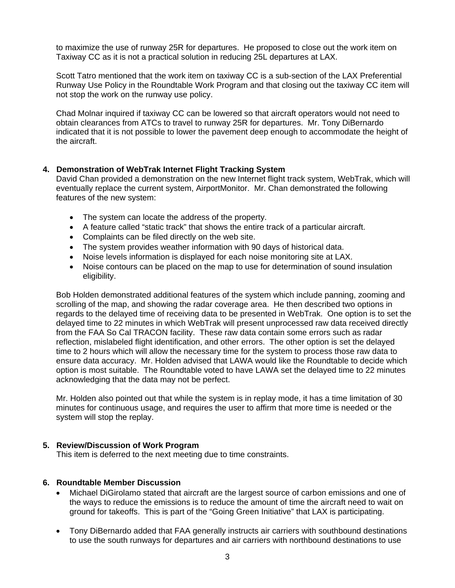to maximize the use of runway 25R for departures. He proposed to close out the work item on Taxiway CC as it is not a practical solution in reducing 25L departures at LAX.

Scott Tatro mentioned that the work item on taxiway CC is a sub-section of the LAX Preferential Runway Use Policy in the Roundtable Work Program and that closing out the taxiway CC item will not stop the work on the runway use policy.

Chad Molnar inquired if taxiway CC can be lowered so that aircraft operators would not need to obtain clearances from ATCs to travel to runway 25R for departures. Mr. Tony DiBernardo indicated that it is not possible to lower the pavement deep enough to accommodate the height of the aircraft.

## **4. Demonstration of WebTrak Internet Flight Tracking System**

David Chan provided a demonstration on the new Internet flight track system, WebTrak, which will eventually replace the current system, AirportMonitor. Mr. Chan demonstrated the following features of the new system:

- The system can locate the address of the property.
- A feature called "static track" that shows the entire track of a particular aircraft.
- Complaints can be filed directly on the web site.
- The system provides weather information with 90 days of historical data.
- Noise levels information is displayed for each noise monitoring site at LAX.
- Noise contours can be placed on the map to use for determination of sound insulation eligibility.

Bob Holden demonstrated additional features of the system which include panning, zooming and scrolling of the map, and showing the radar coverage area. He then described two options in regards to the delayed time of receiving data to be presented in WebTrak. One option is to set the delayed time to 22 minutes in which WebTrak will present unprocessed raw data received directly from the FAA So Cal TRACON facility. These raw data contain some errors such as radar reflection, mislabeled flight identification, and other errors. The other option is set the delayed time to 2 hours which will allow the necessary time for the system to process those raw data to ensure data accuracy. Mr. Holden advised that LAWA would like the Roundtable to decide which option is most suitable. The Roundtable voted to have LAWA set the delayed time to 22 minutes acknowledging that the data may not be perfect.

Mr. Holden also pointed out that while the system is in replay mode, it has a time limitation of 30 minutes for continuous usage, and requires the user to affirm that more time is needed or the system will stop the replay.

### **5. Review/Discussion of Work Program**

This item is deferred to the next meeting due to time constraints.

### **6. Roundtable Member Discussion**

- Michael DiGirolamo stated that aircraft are the largest source of carbon emissions and one of the ways to reduce the emissions is to reduce the amount of time the aircraft need to wait on ground for takeoffs. This is part of the "Going Green Initiative" that LAX is participating.
- Tony DiBernardo added that FAA generally instructs air carriers with southbound destinations to use the south runways for departures and air carriers with northbound destinations to use